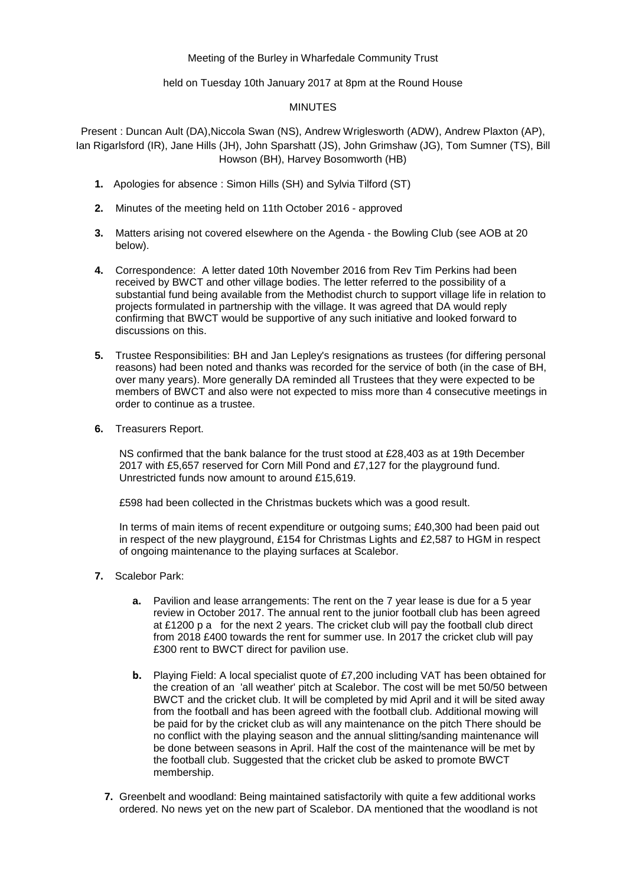## Meeting of the Burley in Wharfedale Community Trust

held on Tuesday 10th January 2017 at 8pm at the Round House

## MINUTES

Present : Duncan Ault (DA),Niccola Swan (NS), Andrew Wriglesworth (ADW), Andrew Plaxton (AP), Ian Rigarlsford (IR), Jane Hills (JH), John Sparshatt (JS), John Grimshaw (JG), Tom Sumner (TS), Bill Howson (BH), Harvey Bosomworth (HB)

- **1.** Apologies for absence : Simon Hills (SH) and Sylvia Tilford (ST)
- **2.** Minutes of the meeting held on 11th October 2016 approved
- **3.** Matters arising not covered elsewhere on the Agenda the Bowling Club (see AOB at 20 below).
- **4.** Correspondence: A letter dated 10th November 2016 from Rev Tim Perkins had been received by BWCT and other village bodies. The letter referred to the possibility of a substantial fund being available from the Methodist church to support village life in relation to projects formulated in partnership with the village. It was agreed that DA would reply confirming that BWCT would be supportive of any such initiative and looked forward to discussions on this.
- **5.** Trustee Responsibilities: BH and Jan Lepley's resignations as trustees (for differing personal reasons) had been noted and thanks was recorded for the service of both (in the case of BH, over many years). More generally DA reminded all Trustees that they were expected to be members of BWCT and also were not expected to miss more than 4 consecutive meetings in order to continue as a trustee.
- **6.** Treasurers Report.

NS confirmed that the bank balance for the trust stood at £28,403 as at 19th December 2017 with £5,657 reserved for Corn Mill Pond and £7,127 for the playground fund. Unrestricted funds now amount to around £15,619.

£598 had been collected in the Christmas buckets which was a good result.

In terms of main items of recent expenditure or outgoing sums; £40,300 had been paid out in respect of the new playground, £154 for Christmas Lights and £2,587 to HGM in respect of ongoing maintenance to the playing surfaces at Scalebor.

- **7.** Scalebor Park:
	- **a.** Pavilion and lease arrangements: The rent on the 7 year lease is due for a 5 year review in October 2017. The annual rent to the junior football club has been agreed at £1200 p a for the next 2 years. The cricket club will pay the football club direct from 2018 £400 towards the rent for summer use. In 2017 the cricket club will pay £300 rent to BWCT direct for pavilion use.
	- **b.** Playing Field: A local specialist quote of £7,200 including VAT has been obtained for the creation of an 'all weather' pitch at Scalebor. The cost will be met 50/50 between BWCT and the cricket club. It will be completed by mid April and it will be sited away from the football and has been agreed with the football club. Additional mowing will be paid for by the cricket club as will any maintenance on the pitch There should be no conflict with the playing season and the annual slitting/sanding maintenance will be done between seasons in April. Half the cost of the maintenance will be met by the football club. Suggested that the cricket club be asked to promote BWCT membership.
	- **7.** Greenbelt and woodland: Being maintained satisfactorily with quite a few additional works ordered. No news yet on the new part of Scalebor. DA mentioned that the woodland is not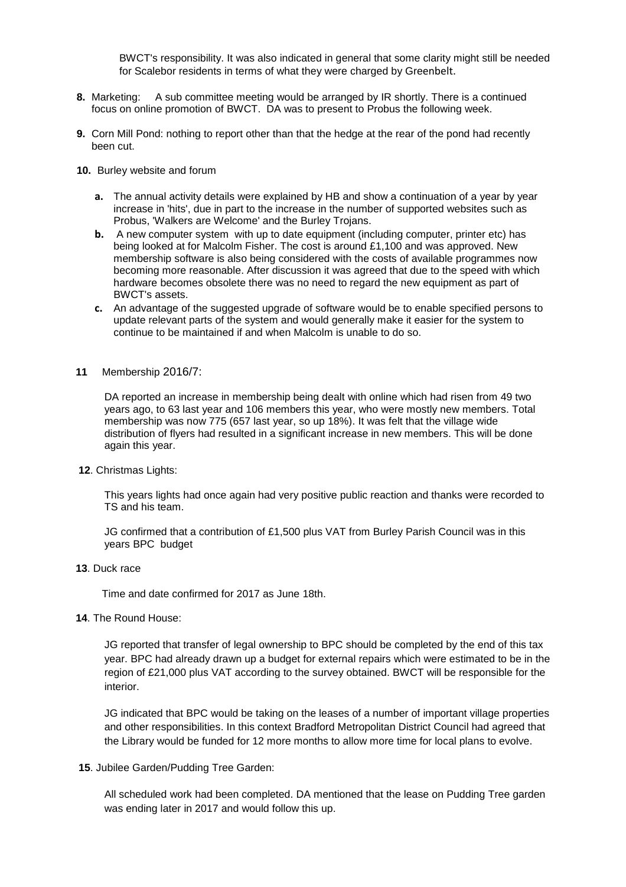BWCT's responsibility. It was also indicated in general that some clarity might still be needed for Scalebor residents in terms of what they were charged by Greenbelt.

- **8.** Marketing: A sub committee meeting would be arranged by IR shortly. There is a continued focus on online promotion of BWCT. DA was to present to Probus the following week.
- **9.** Corn Mill Pond: nothing to report other than that the hedge at the rear of the pond had recently been cut.
- **10.** Burley website and forum
	- **a.** The annual activity details were explained by HB and show a continuation of a year by year increase in 'hits', due in part to the increase in the number of supported websites such as Probus, 'Walkers are Welcome' and the Burley Trojans.
	- **b.** A new computer system with up to date equipment (including computer, printer etc) has being looked at for Malcolm Fisher. The cost is around £1,100 and was approved. New membership software is also being considered with the costs of available programmes now becoming more reasonable. After discussion it was agreed that due to the speed with which hardware becomes obsolete there was no need to regard the new equipment as part of BWCT's assets.
	- **c.** An advantage of the suggested upgrade of software would be to enable specified persons to update relevant parts of the system and would generally make it easier for the system to continue to be maintained if and when Malcolm is unable to do so.
- **11** Membership 2016/7:

DA reported an increase in membership being dealt with online which had risen from 49 two years ago, to 63 last year and 106 members this year, who were mostly new members. Total membership was now 775 (657 last year, so up 18%). It was felt that the village wide distribution of flyers had resulted in a significant increase in new members. This will be done again this year.

**12**. Christmas Lights:

This years lights had once again had very positive public reaction and thanks were recorded to TS and his team.

JG confirmed that a contribution of £1,500 plus VAT from Burley Parish Council was in this years BPC budget

**13**. Duck race

Time and date confirmed for 2017 as June 18th.

**14**. The Round House:

JG reported that transfer of legal ownership to BPC should be completed by the end of this tax year. BPC had already drawn up a budget for external repairs which were estimated to be in the region of £21,000 plus VAT according to the survey obtained. BWCT will be responsible for the interior.

JG indicated that BPC would be taking on the leases of a number of important village properties and other responsibilities. In this context Bradford Metropolitan District Council had agreed that the Library would be funded for 12 more months to allow more time for local plans to evolve.

**15**. Jubilee Garden/Pudding Tree Garden:

All scheduled work had been completed. DA mentioned that the lease on Pudding Tree garden was ending later in 2017 and would follow this up.